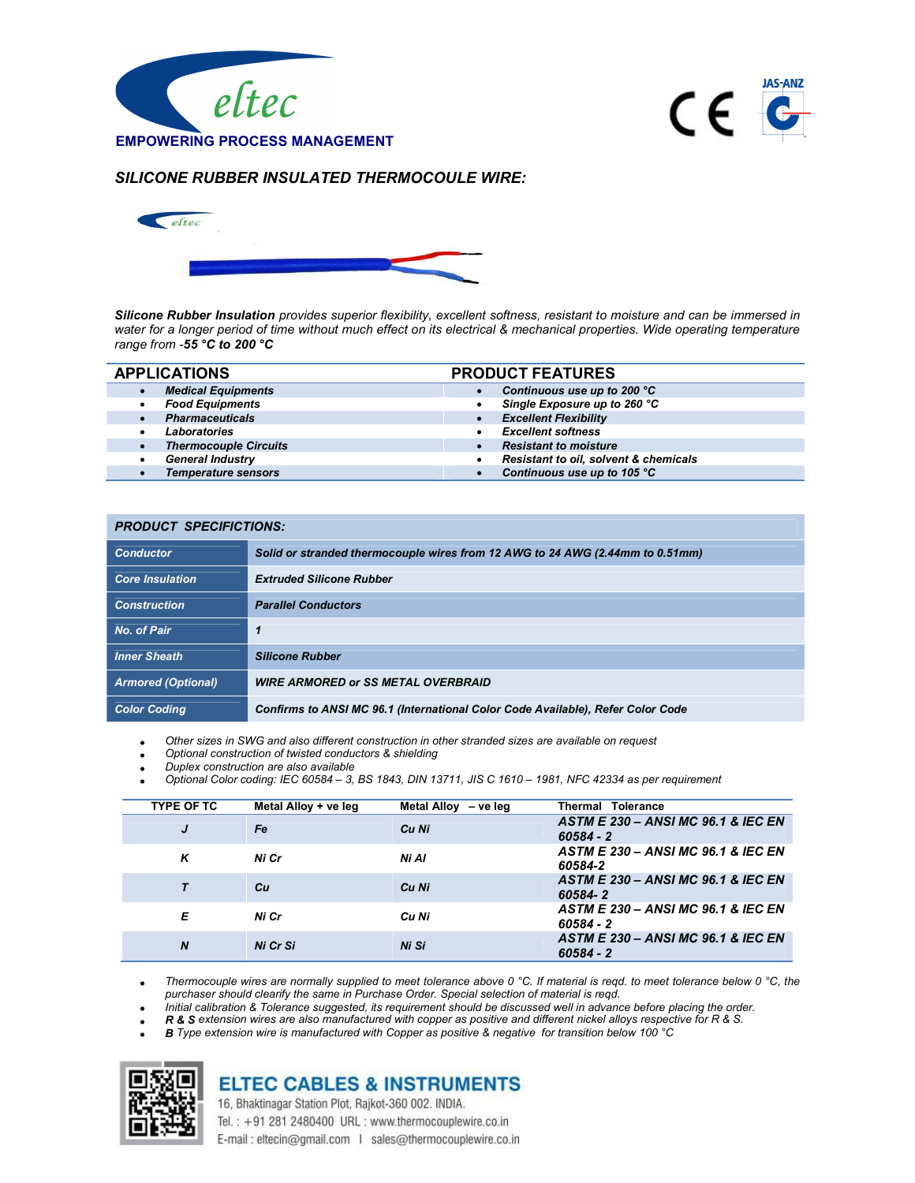



## SILICONE RUBBER INSULATED THERMOCOULE WIRE:



Silicone Rubber Insulation provides superior flexibility, excellent softness, resistant to moisture and can be immersed in water for a longer period of time without much effect on its electrical & mechanical properties. Wide operating temperature range from -55 °C to 200 °C

|           | <b>APPLICATIONS</b>          | <b>PRODUCT FEATURES</b> |                                       |
|-----------|------------------------------|-------------------------|---------------------------------------|
| $\bullet$ | <b>Medical Equipments</b>    |                         | Continuous use up to 200 °C           |
| ٠         | <b>Food Equipments</b>       |                         | Single Exposure up to 260 °C          |
| $\bullet$ | <b>Pharmaceuticals</b>       |                         | <b>Excellent Flexibility</b>          |
|           | Laboratories                 |                         | <b>Excellent softness</b>             |
| $\bullet$ | <b>Thermocouple Circuits</b> |                         | <b>Resistant to moisture</b>          |
| ٠         | <b>General Industry</b>      |                         | Resistant to oil, solvent & chemicals |
|           | <b>Temperature sensors</b>   |                         | Continuous use up to 105 °C           |

| <b>PRODUCT SPECIFICTIONS:</b> |                                                                                 |  |
|-------------------------------|---------------------------------------------------------------------------------|--|
| <b>Conductor</b>              | Solid or stranded thermocouple wires from 12 AWG to 24 AWG (2.44mm to 0.51mm)   |  |
| <b>Core Insulation</b>        | <b>Extruded Silicone Rubber</b>                                                 |  |
| <b>Construction</b>           | <b>Parallel Conductors</b>                                                      |  |
| No. of Pair                   |                                                                                 |  |
| <b>Inner Sheath</b>           | <b>Silicone Rubber</b>                                                          |  |
| <b>Armored (Optional)</b>     | <b>WIRE ARMORED or SS METAL OVERBRAID</b>                                       |  |
| <b>Color Coding</b>           | Confirms to ANSI MC 96.1 (International Color Code Available), Refer Color Code |  |

Other sizes in SWG and also different construction in other stranded sizes are available on request

- Optional construction of twisted conductors & shielding
- Duplex construction are also available
- Optional Color coding: IEC 60584 3, BS 1843, DIN 13711, JIS C 1610 1981, NFC 42334 as per requirement

| <b>TYPE OF TC</b> | Metal Alloy + ve leg | Metal Alloy - ve leg | <b>Thermal Tolerance</b>                                     |
|-------------------|----------------------|----------------------|--------------------------------------------------------------|
| J                 | Fe                   | Cu Ni                | ASTM E 230 - ANSI MC 96.1 & IEC EN<br>$60584 - 2$            |
| K                 | Ni Cr                | Ni Al                | ASTM E 230 - ANSI MC 96.1 & IEC EN<br>60584-2                |
|                   | Cн                   | Cu Ni                | ASTM E 230 - ANSI MC 96.1 & IEC EN<br>60584-2                |
| Е                 | Ni Cr                | Cu Ni                | ASTM E 230 - ANSI MC 96.1 & IEC EN<br>$60584 - 2$            |
| $\boldsymbol{N}$  | Ni Cr Si             | Ni Si                | <b>ASTM E 230 - ANSI MC 96.1 &amp; IEC EN</b><br>$60584 - 2$ |

Thermocouple wires are normally supplied to meet tolerance above 0 °C. If material is reqd. to meet tolerance below 0 °C, the purchaser should clearify the same in Purchase Order. Special selection of material is reqd.

Initial calibration & Tolerance suggested, its requirement should be discussed well in advance before placing the order.

R & S extension wires are also manufactured with copper as positive and different nickel alloys respective for R & S.

B Type extension wire is manufactured with Copper as positive & negative for transition below 100 °C



## **ELTEC CABLES & INSTRUMENTS** 16, Bhaktinagar Station Plot, Rajkot-360 002. INDIA.

Tel.: +91 281 2480400 URL: www.thermocouplewire.co.in E-mail: eltecin@gmail.com | sales@thermocouplewire.co.in